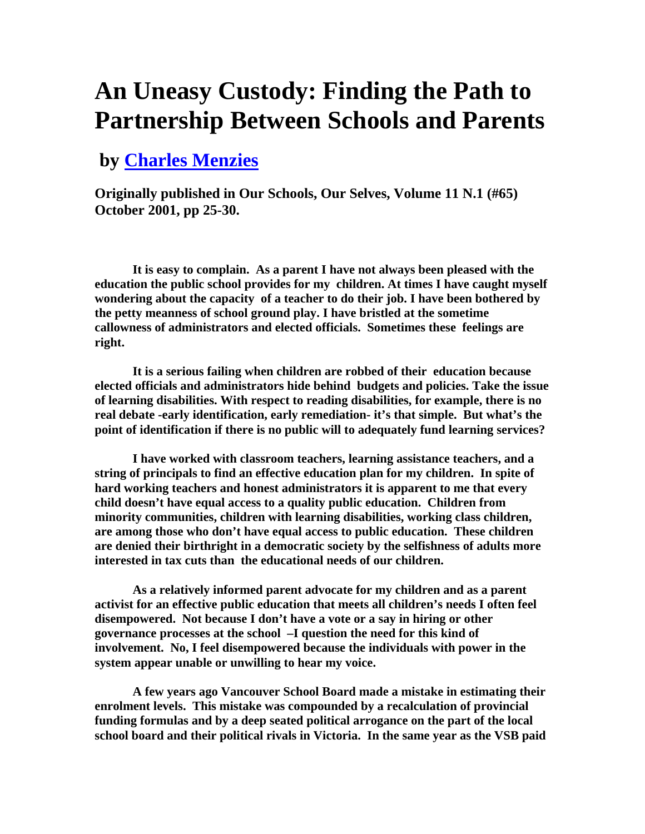## **An Uneasy Custody: Finding the Path to Partnership Between Schools and Parents**

## **by Charles Menzies**

**Originally published in Our Schools, Our Selves, Volume 11 N.1 (#65) October 2001, pp 25-30.** 

**It is easy to complain. As a parent I have not always been pleased with the education the public school provides for my children. At times I have caught myself wondering about the capacity of a teacher to do their job. I have been bothered by the petty meanness of school ground play. I have bristled at the sometime callowness of administrators and elected officials. Sometimes these feelings are right.** 

**It is a serious failing when children are robbed of their education because elected officials and administrators hide behind budgets and policies. Take the issue of learning disabilities. With respect to reading disabilities, for example, there is no real debate -early identification, early remediation- it's that simple. But what's the point of identification if there is no public will to adequately fund learning services?**

**I have worked with classroom teachers, learning assistance teachers, and a string of principals to find an effective education plan for my children. In spite of hard working teachers and honest administrators it is apparent to me that every child doesn't have equal access to a quality public education. Children from minority communities, children with learning disabilities, working class children, are among those who don't have equal access to public education. These children are denied their birthright in a democratic society by the selfishness of adults more interested in tax cuts than the educational needs of our children.**

**As a relatively informed parent advocate for my children and as a parent activist for an effective public education that meets all children's needs I often feel disempowered. Not because I don't have a vote or a say in hiring or other governance processes at the school –I question the need for this kind of involvement. No, I feel disempowered because the individuals with power in the system appear unable or unwilling to hear my voice.**

**A few years ago Vancouver School Board made a mistake in estimating their enrolment levels. This mistake was compounded by a recalculation of provincial funding formulas and by a deep seated political arrogance on the part of the local school board and their political rivals in Victoria. In the same year as the VSB paid**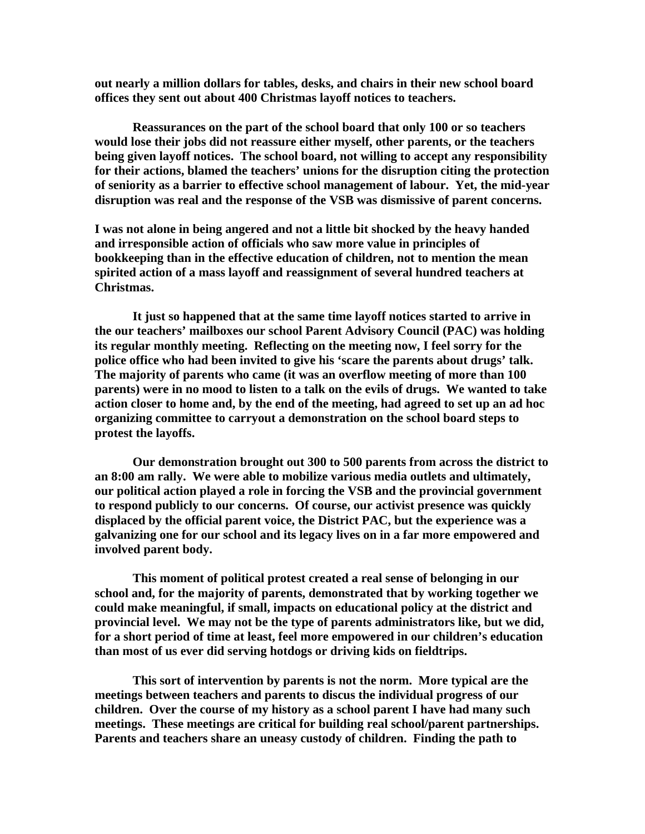**out nearly a million dollars for tables, desks, and chairs in their new school board offices they sent out about 400 Christmas layoff notices to teachers.**

**Reassurances on the part of the school board that only 100 or so teachers would lose their jobs did not reassure either myself, other parents, or the teachers being given layoff notices. The school board, not willing to accept any responsibility for their actions, blamed the teachers' unions for the disruption citing the protection of seniority as a barrier to effective school management of labour. Yet, the mid-year disruption was real and the response of the VSB was dismissive of parent concerns.**

**I was not alone in being angered and not a little bit shocked by the heavy handed and irresponsible action of officials who saw more value in principles of bookkeeping than in the effective education of children, not to mention the mean spirited action of a mass layoff and reassignment of several hundred teachers at Christmas.** 

**It just so happened that at the same time layoff notices started to arrive in the our teachers' mailboxes our school Parent Advisory Council (PAC) was holding its regular monthly meeting. Reflecting on the meeting now, I feel sorry for the police office who had been invited to give his 'scare the parents about drugs' talk. The majority of parents who came (it was an overflow meeting of more than 100 parents) were in no mood to listen to a talk on the evils of drugs. We wanted to take action closer to home and, by the end of the meeting, had agreed to set up an ad hoc organizing committee to carryout a demonstration on the school board steps to protest the layoffs.**

**Our demonstration brought out 300 to 500 parents from across the district to an 8:00 am rally. We were able to mobilize various media outlets and ultimately, our political action played a role in forcing the VSB and the provincial government to respond publicly to our concerns. Of course, our activist presence was quickly displaced by the official parent voice, the District PAC, but the experience was a galvanizing one for our school and its legacy lives on in a far more empowered and involved parent body.**

**This moment of political protest created a real sense of belonging in our school and, for the majority of parents, demonstrated that by working together we could make meaningful, if small, impacts on educational policy at the district and provincial level. We may not be the type of parents administrators like, but we did, for a short period of time at least, feel more empowered in our children's education than most of us ever did serving hotdogs or driving kids on fieldtrips.**

**This sort of intervention by parents is not the norm. More typical are the meetings between teachers and parents to discus the individual progress of our children. Over the course of my history as a school parent I have had many such meetings. These meetings are critical for building real school/parent partnerships. Parents and teachers share an uneasy custody of children. Finding the path to**